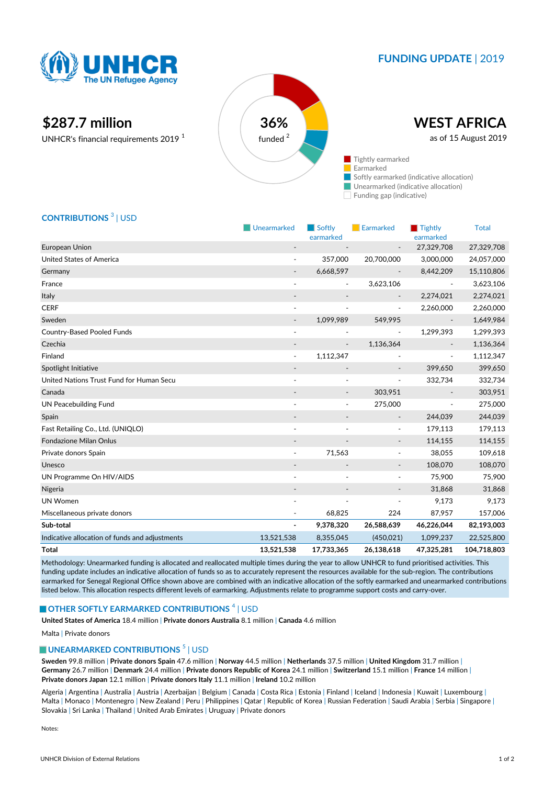

# **FUNDING UPDATE** | 2019

# **\$287.7 million 36%**

UNHCR's financial requirements 2019 <sup>1</sup>



## **CONTRIBUTIONS** <sup>3</sup> | USD

|                                                | Unearmarked              | $\blacksquare$ Softly<br>earmarked | Earmarked                | $\blacksquare$ Tightly<br>earmarked | <b>Total</b> |
|------------------------------------------------|--------------------------|------------------------------------|--------------------------|-------------------------------------|--------------|
| European Union                                 | $\overline{\phantom{a}}$ |                                    |                          | 27,329,708                          | 27,329,708   |
| <b>United States of America</b>                | $\overline{\phantom{a}}$ | 357,000                            | 20,700,000               | 3,000,000                           | 24,057,000   |
| Germany                                        | $\overline{\phantom{a}}$ | 6,668,597                          | $\overline{\phantom{a}}$ | 8,442,209                           | 15,110,806   |
| France                                         | $\overline{\phantom{a}}$ | $\overline{\phantom{m}}$           | 3,623,106                |                                     | 3,623,106    |
| Italy                                          |                          |                                    |                          | 2,274,021                           | 2,274,021    |
| <b>CERF</b>                                    |                          |                                    | $\overline{\phantom{a}}$ | 2,260,000                           | 2,260,000    |
| Sweden                                         | $\overline{\phantom{a}}$ | 1,099,989                          | 549,995                  |                                     | 1,649,984    |
| <b>Country-Based Pooled Funds</b>              | $\sim$                   |                                    | $\overline{\phantom{a}}$ | 1,299,393                           | 1,299,393    |
| Czechia                                        |                          |                                    | 1,136,364                |                                     | 1,136,364    |
| Finland                                        | $\blacksquare$           | 1,112,347                          |                          | ÷,                                  | 1,112,347    |
| Spotlight Initiative                           | $\overline{\phantom{a}}$ |                                    | $\overline{\phantom{a}}$ | 399,650                             | 399,650      |
| United Nations Trust Fund for Human Secu       |                          |                                    | $\overline{a}$           | 332,734                             | 332,734      |
| Canada                                         |                          |                                    | 303,951                  |                                     | 303,951      |
| <b>UN Peacebuilding Fund</b>                   | $\overline{\phantom{a}}$ | $\blacksquare$                     | 275,000                  | ÷,                                  | 275,000      |
| Spain                                          |                          |                                    | $\overline{\phantom{a}}$ | 244,039                             | 244,039      |
| Fast Retailing Co., Ltd. (UNIQLO)              | $\overline{a}$           |                                    | $\overline{\phantom{a}}$ | 179,113                             | 179,113      |
| <b>Fondazione Milan Onlus</b>                  |                          |                                    |                          | 114,155                             | 114,155      |
| Private donors Spain                           | $\overline{\phantom{a}}$ | 71,563                             | $\overline{\phantom{a}}$ | 38,055                              | 109,618      |
| Unesco                                         | $\overline{\phantom{a}}$ |                                    | $\overline{\phantom{a}}$ | 108,070                             | 108,070      |
| UN Programme On HIV/AIDS                       |                          |                                    | ۰                        | 75,900                              | 75,900       |
| Nigeria                                        |                          |                                    | $\blacksquare$           | 31,868                              | 31,868       |
| <b>UN Women</b>                                | $\overline{\phantom{a}}$ | $\tilde{\phantom{a}}$              | $\frac{1}{2}$            | 9,173                               | 9,173        |
| Miscellaneous private donors                   |                          | 68,825                             | 224                      | 87,957                              | 157,006      |
| Sub-total                                      | $\overline{a}$           | 9,378,320                          | 26,588,639               | 46,226,044                          | 82,193,003   |
| Indicative allocation of funds and adjustments | 13,521,538               | 8,355,045                          | (450,021)                | 1,099,237                           | 22,525,800   |
| <b>Total</b>                                   | 13,521,538               | 17,733,365                         | 26,138,618               | 47,325,281                          | 104,718,803  |

Methodology: Unearmarked funding is allocated and reallocated multiple times during the year to allow UNHCR to fund prioritised activities. This funding update includes an indicative allocation of funds so as to accurately represent the resources available for the sub-region. The contributions earmarked for Senegal Regional Office shown above are combined with an indicative allocation of the softly earmarked and unearmarked contributions listed below. This allocation respects different levels of earmarking. Adjustments relate to programme support costs and carry-over.

#### **OTHER SOFTLY EARMARKED CONTRIBUTIONS**  $^4$  | USD

**United States of America** 18.4 million | **Private donors Australia** 8.1 million | **Canada** 4.6 million

#### Malta | Private donors

## **UNEARMARKED CONTRIBUTIONS**<sup>5</sup> | USD

**Sweden** 99.8 million | **Private donors Spain** 47.6 million | **Norway** 44.5 million | **Netherlands** 37.5 million | **United Kingdom** 31.7 million | **Germany** 26.7 million | **Denmark** 24.4 million | **Private donors Republic of Korea** 24.1 million | **Switzerland** 15.1 million | **France** 14 million | **Private donors Japan** 12.1 million | **Private donors Italy** 11.1 million | **Ireland** 10.2 million

Algeria | Argentina | Australia | Austria | Azerbaijan | Belgium | Canada | Costa Rica | Estonia | Finland | Iceland | Indonesia | Kuwait | Luxembourg | Malta | Monaco | Montenegro | New Zealand | Peru | Philippines | Qatar | Republic of Korea | Russian Federation | Saudi Arabia | Serbia | Singapore | Slovakia | Sri Lanka | Thailand | United Arab Emirates | Uruguay | Private donors

Notes: